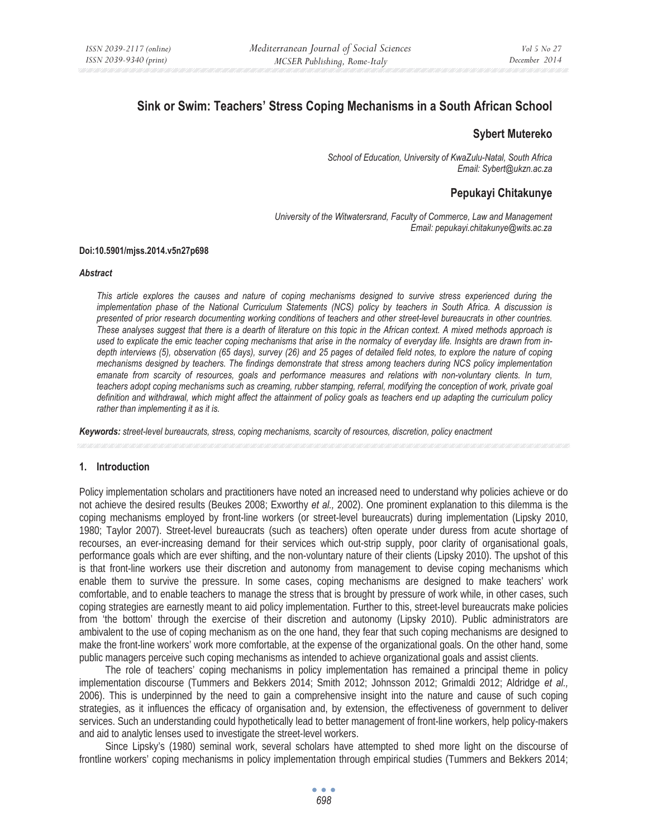# **Sink or Swim: Teachers' Stress Coping Mechanisms in a South African School**

## **Sybert Mutereko**

*School of Education, University of KwaZulu-Natal, South Africa Email: Sybert@ukzn.ac.za* 

## **Pepukayi Chitakunye**

*University of the Witwatersrand, Faculty of Commerce, Law and Management Email: pepukayi.chitakunye@wits.ac.za* 

#### **Doi:10.5901/mjss.2014.v5n27p698**

#### *Abstract*

*This article explores the causes and nature of coping mechanisms designed to survive stress experienced during the implementation phase of the National Curriculum Statements (NCS) policy by teachers in South Africa. A discussion is presented of prior research documenting working conditions of teachers and other street-level bureaucrats in other countries. These analyses suggest that there is a dearth of literature on this topic in the African context. A mixed methods approach is used to explicate the emic teacher coping mechanisms that arise in the normalcy of everyday life. Insights are drawn from indepth interviews (5), observation (65 days), survey (26) and 25 pages of detailed field notes, to explore the nature of coping mechanisms designed by teachers. The findings demonstrate that stress among teachers during NCS policy implementation*  emanate from scarcity of resources, goals and performance measures and relations with non-voluntary clients. In turn, *teachers adopt coping mechanisms such as creaming, rubber stamping, referral, modifying the conception of work, private goal definition and withdrawal, which might affect the attainment of policy goals as teachers end up adapting the curriculum policy rather than implementing it as it is.* 

*Keywords: street-level bureaucrats, stress, coping mechanisms, scarcity of resources, discretion, policy enactment* 

#### **1. Introduction**

Policy implementation scholars and practitioners have noted an increased need to understand why policies achieve or do not achieve the desired results (Beukes 2008; Exworthy *et al.,* 2002). One prominent explanation to this dilemma is the coping mechanisms employed by front-line workers (or street-level bureaucrats) during implementation (Lipsky 2010, 1980; Taylor 2007). Street-level bureaucrats (such as teachers) often operate under duress from acute shortage of recourses, an ever-increasing demand for their services which out-strip supply, poor clarity of organisational goals, performance goals which are ever shifting, and the non-voluntary nature of their clients (Lipsky 2010). The upshot of this is that front-line workers use their discretion and autonomy from management to devise coping mechanisms which enable them to survive the pressure. In some cases, coping mechanisms are designed to make teachers' work comfortable, and to enable teachers to manage the stress that is brought by pressure of work while, in other cases, such coping strategies are earnestly meant to aid policy implementation. Further to this, street-level bureaucrats make policies from 'the bottom' through the exercise of their discretion and autonomy (Lipsky 2010). Public administrators are ambivalent to the use of coping mechanism as on the one hand, they fear that such coping mechanisms are designed to make the front-line workers' work more comfortable, at the expense of the organizational goals. On the other hand, some public managers perceive such coping mechanisms as intended to achieve organizational goals and assist clients.

The role of teachers' coping mechanisms in policy implementation has remained a principal theme in policy implementation discourse (Tummers and Bekkers 2014; Smith 2012; Johnsson 2012; Grimaldi 2012; Aldridge *et al.,* 2006). This is underpinned by the need to gain a comprehensive insight into the nature and cause of such coping strategies, as it influences the efficacy of organisation and, by extension, the effectiveness of government to deliver services. Such an understanding could hypothetically lead to better management of front-line workers, help policy-makers and aid to analytic lenses used to investigate the street-level workers.

Since Lipsky's (1980) seminal work, several scholars have attempted to shed more light on the discourse of frontline workers' coping mechanisms in policy implementation through empirical studies (Tummers and Bekkers 2014;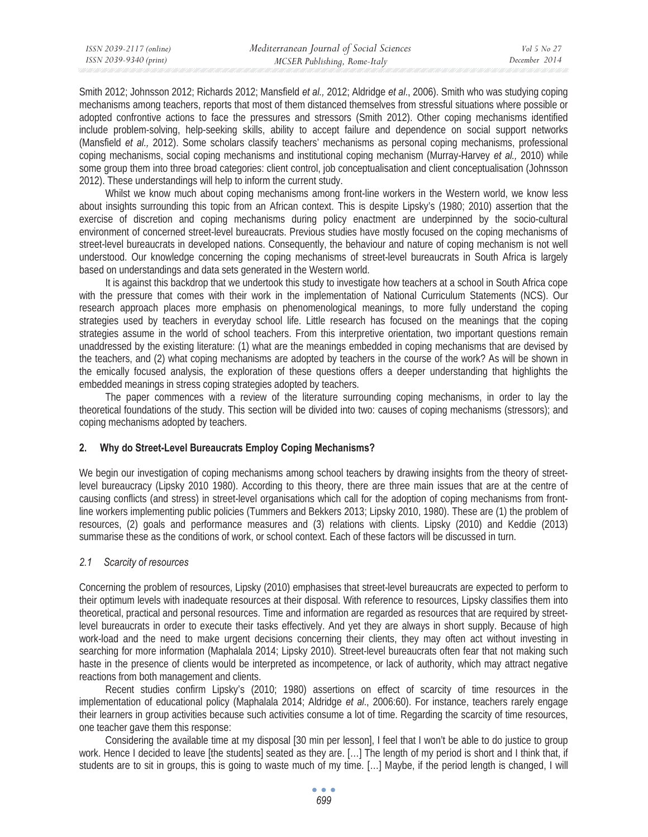Smith 2012; Johnsson 2012; Richards 2012; Mansfield *et al.*, 2012; Aldridge *et al.*, 2006). Smith who was studying coping mechanisms among teachers, reports that most of them distanced themselves from stressful situations where possible or adopted confrontive actions to face the pressures and stressors (Smith 2012). Other coping mechanisms identified include problem-solving, help-seeking skills, ability to accept failure and dependence on social support networks (Mansfield *et al., 2012)*. Some scholars classify teachers' mechanisms as personal coping mechanisms, professional coping mechanisms, social coping mechanisms and institutional coping mechanism (Murray-Harvey *et al.,* 2010) while some group them into three broad categories: client control, job conceptualisation and client conceptualisation (Johnsson 2012). These understandings will help to inform the current study.

Whilst we know much about coping mechanisms among front-line workers in the Western world, we know less about insights surrounding this topic from an African context. This is despite Lipsky's (1980; 2010) assertion that the exercise of discretion and coping mechanisms during policy enactment are underpinned by the socio-cultural environment of concerned street-level bureaucrats. Previous studies have mostly focused on the coping mechanisms of street-level bureaucrats in developed nations. Consequently, the behaviour and nature of coping mechanism is not well understood. Our knowledge concerning the coping mechanisms of street-level bureaucrats in South Africa is largely based on understandings and data sets generated in the Western world.

It is against this backdrop that we undertook this study to investigate how teachers at a school in South Africa cope with the pressure that comes with their work in the implementation of National Curriculum Statements (NCS). Our research approach places more emphasis on phenomenological meanings, to more fully understand the coping strategies used by teachers in everyday school life. Little research has focused on the meanings that the coping strategies assume in the world of school teachers. From this interpretive orientation, two important questions remain unaddressed by the existing literature: (1) what are the meanings embedded in coping mechanisms that are devised by the teachers, and (2) what coping mechanisms are adopted by teachers in the course of the work? As will be shown in the emically focused analysis, the exploration of these questions offers a deeper understanding that highlights the embedded meanings in stress coping strategies adopted by teachers.

The paper commences with a review of the literature surrounding coping mechanisms, in order to lay the theoretical foundations of the study. This section will be divided into two: causes of coping mechanisms (stressors); and coping mechanisms adopted by teachers.

## **2. Why do Street-Level Bureaucrats Employ Coping Mechanisms?**

We begin our investigation of coping mechanisms among school teachers by drawing insights from the theory of streetlevel bureaucracy (Lipsky 2010 1980). According to this theory, there are three main issues that are at the centre of causing conflicts (and stress) in street-level organisations which call for the adoption of coping mechanisms from frontline workers implementing public policies (Tummers and Bekkers 2013; Lipsky 2010, 1980). These are (1) the problem of resources, (2) goals and performance measures and (3) relations with clients. Lipsky (2010) and Keddie (2013) summarise these as the conditions of work, or school context. Each of these factors will be discussed in turn.

## *2.1 Scarcity of resources*

Concerning the problem of resources, Lipsky (2010) emphasises that street-level bureaucrats are expected to perform to their optimum levels with inadequate resources at their disposal. With reference to resources, Lipsky classifies them into theoretical, practical and personal resources. Time and information are regarded as resources that are required by streetlevel bureaucrats in order to execute their tasks effectively. And yet they are always in short supply. Because of high work-load and the need to make urgent decisions concerning their clients, they may often act without investing in searching for more information (Maphalala 2014; Lipsky 2010). Street-level bureaucrats often fear that not making such haste in the presence of clients would be interpreted as incompetence, or lack of authority, which may attract negative reactions from both management and clients.

Recent studies confirm Lipsky's (2010; 1980) assertions on effect of scarcity of time resources in the implementation of educational policy (Maphalala 2014; Aldridge *et al*., 2006:60). For instance, teachers rarely engage their learners in group activities because such activities consume a lot of time. Regarding the scarcity of time resources, one teacher gave them this response:

Considering the available time at my disposal [30 min per lesson], I feel that I won't be able to do justice to group work. Hence I decided to leave [the students] seated as they are. […] The length of my period is short and I think that, if students are to sit in groups, this is going to waste much of my time. […] Maybe, if the period length is changed, I will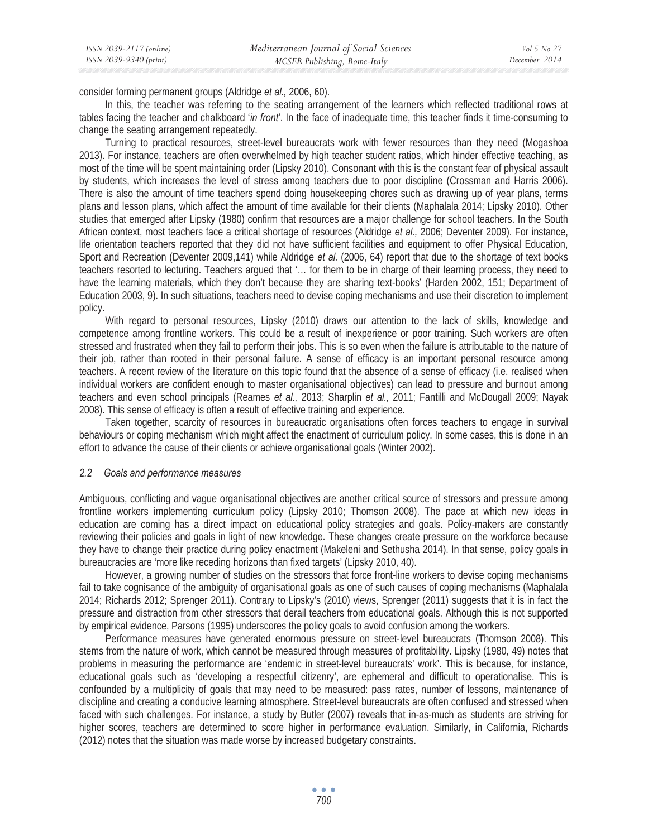consider forming permanent groups (Aldridge *et al.,* 2006, 60).

In this, the teacher was referring to the seating arrangement of the learners which reflected traditional rows at tables facing the teacher and chalkboard '*in front*'. In the face of inadequate time, this teacher finds it time-consuming to change the seating arrangement repeatedly.

Turning to practical resources, street-level bureaucrats work with fewer resources than they need (Mogashoa 2013). For instance, teachers are often overwhelmed by high teacher student ratios, which hinder effective teaching, as most of the time will be spent maintaining order (Lipsky 2010). Consonant with this is the constant fear of physical assault by students, which increases the level of stress among teachers due to poor discipline (Crossman and Harris 2006). There is also the amount of time teachers spend doing housekeeping chores such as drawing up of year plans, terms plans and lesson plans, which affect the amount of time available for their clients (Maphalala 2014; Lipsky 2010). Other studies that emerged after Lipsky (1980) confirm that resources are a major challenge for school teachers. In the South African context, most teachers face a critical shortage of resources (Aldridge *et al.,* 2006; Deventer 2009). For instance, life orientation teachers reported that they did not have sufficient facilities and equipment to offer Physical Education, Sport and Recreation (Deventer 2009,141) while Aldridge *et al.* (2006, 64) report that due to the shortage of text books teachers resorted to lecturing. Teachers argued that '… for them to be in charge of their learning process, they need to have the learning materials, which they don't because they are sharing text-books' (Harden 2002, 151; Department of Education 2003, 9). In such situations, teachers need to devise coping mechanisms and use their discretion to implement policy.

With regard to personal resources, Lipsky (2010) draws our attention to the lack of skills, knowledge and competence among frontline workers. This could be a result of inexperience or poor training. Such workers are often stressed and frustrated when they fail to perform their jobs. This is so even when the failure is attributable to the nature of their job, rather than rooted in their personal failure. A sense of efficacy is an important personal resource among teachers. A recent review of the literature on this topic found that the absence of a sense of efficacy (i.e. realised when individual workers are confident enough to master organisational objectives) can lead to pressure and burnout among teachers and even school principals (Reames *et al.,* 2013; Sharplin *et al.,* 2011; Fantilli and McDougall 2009; Nayak 2008). This sense of efficacy is often a result of effective training and experience.

Taken together, scarcity of resources in bureaucratic organisations often forces teachers to engage in survival behaviours or coping mechanism which might affect the enactment of curriculum policy. In some cases, this is done in an effort to advance the cause of their clients or achieve organisational goals (Winter 2002).

#### *2.2 Goals and performance measures*

Ambiguous, conflicting and vague organisational objectives are another critical source of stressors and pressure among frontline workers implementing curriculum policy (Lipsky 2010; Thomson 2008). The pace at which new ideas in education are coming has a direct impact on educational policy strategies and goals. Policy-makers are constantly reviewing their policies and goals in light of new knowledge. These changes create pressure on the workforce because they have to change their practice during policy enactment (Makeleni and Sethusha 2014). In that sense, policy goals in bureaucracies are 'more like receding horizons than fixed targets' (Lipsky 2010, 40).

However, a growing number of studies on the stressors that force front-line workers to devise coping mechanisms fail to take cognisance of the ambiguity of organisational goals as one of such causes of coping mechanisms (Maphalala 2014; Richards 2012; Sprenger 2011). Contrary to Lipsky's (2010) views, Sprenger (2011) suggests that it is in fact the pressure and distraction from other stressors that derail teachers from educational goals. Although this is not supported by empirical evidence, Parsons (1995) underscores the policy goals to avoid confusion among the workers.

Performance measures have generated enormous pressure on street-level bureaucrats (Thomson 2008). This stems from the nature of work, which cannot be measured through measures of profitability. Lipsky (1980, 49) notes that problems in measuring the performance are 'endemic in street-level bureaucrats' work'. This is because, for instance, educational goals such as 'developing a respectful citizenry', are ephemeral and difficult to operationalise. This is confounded by a multiplicity of goals that may need to be measured: pass rates, number of lessons, maintenance of discipline and creating a conducive learning atmosphere. Street-level bureaucrats are often confused and stressed when faced with such challenges. For instance, a study by Butler (2007) reveals that in-as-much as students are striving for higher scores, teachers are determined to score higher in performance evaluation. Similarly, in California, Richards (2012) notes that the situation was made worse by increased budgetary constraints.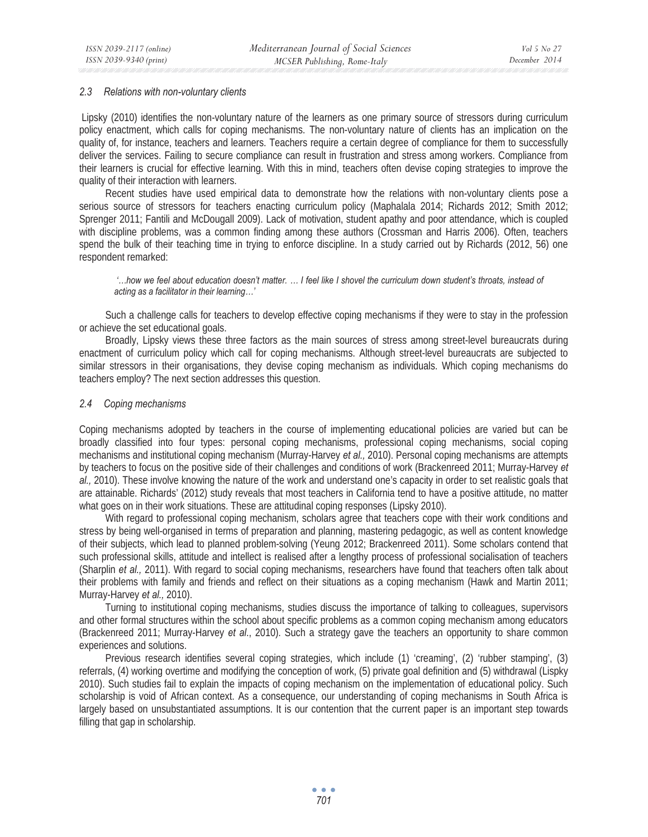#### *2.3 Relations with non-voluntary clients*

Lipsky (2010) identifies the non-voluntary nature of the learners as one primary source of stressors during curriculum policy enactment, which calls for coping mechanisms. The non-voluntary nature of clients has an implication on the quality of, for instance, teachers and learners. Teachers require a certain degree of compliance for them to successfully deliver the services. Failing to secure compliance can result in frustration and stress among workers. Compliance from their learners is crucial for effective learning. With this in mind, teachers often devise coping strategies to improve the quality of their interaction with learners.

Recent studies have used empirical data to demonstrate how the relations with non-voluntary clients pose a serious source of stressors for teachers enacting curriculum policy (Maphalala 2014; Richards 2012; Smith 2012; Sprenger 2011; Fantili and McDougall 2009). Lack of motivation, student apathy and poor attendance, which is coupled with discipline problems, was a common finding among these authors (Crossman and Harris 2006). Often, teachers spend the bulk of their teaching time in trying to enforce discipline. In a study carried out by Richards (2012, 56) one respondent remarked:

 *'…how we feel about education doesn't matter. … I feel like I shovel the curriculum down student's throats, instead of acting as a facilitator in their learning…'* 

Such a challenge calls for teachers to develop effective coping mechanisms if they were to stay in the profession or achieve the set educational goals.

Broadly, Lipsky views these three factors as the main sources of stress among street-level bureaucrats during enactment of curriculum policy which call for coping mechanisms. Although street-level bureaucrats are subjected to similar stressors in their organisations, they devise coping mechanism as individuals. Which coping mechanisms do teachers employ? The next section addresses this question.

#### *2.4 Coping mechanisms*

Coping mechanisms adopted by teachers in the course of implementing educational policies are varied but can be broadly classified into four types: personal coping mechanisms, professional coping mechanisms, social coping mechanisms and institutional coping mechanism (Murray-Harvey *et al.,* 2010). Personal coping mechanisms are attempts by teachers to focus on the positive side of their challenges and conditions of work (Brackenreed 2011; Murray-Harvey *et al.,* 2010). These involve knowing the nature of the work and understand one's capacity in order to set realistic goals that are attainable. Richards' (2012) study reveals that most teachers in California tend to have a positive attitude, no matter what goes on in their work situations. These are attitudinal coping responses (Lipsky 2010).

With regard to professional coping mechanism, scholars agree that teachers cope with their work conditions and stress by being well-organised in terms of preparation and planning, mastering pedagogic, as well as content knowledge of their subjects, which lead to planned problem-solving (Yeung 2012; Brackenreed 2011). Some scholars contend that such professional skills, attitude and intellect is realised after a lengthy process of professional socialisation of teachers (Sharplin *et al.,* 2011). With regard to social coping mechanisms, researchers have found that teachers often talk about their problems with family and friends and reflect on their situations as a coping mechanism (Hawk and Martin 2011; Murray-Harvey *et al.,* 2010).

Turning to institutional coping mechanisms, studies discuss the importance of talking to colleagues, supervisors and other formal structures within the school about specific problems as a common coping mechanism among educators (Brackenreed 2011; Murray-Harvey *et al*., 2010). Such a strategy gave the teachers an opportunity to share common experiences and solutions.

Previous research identifies several coping strategies, which include (1) 'creaming', (2) 'rubber stamping', (3) referrals, (4) working overtime and modifying the conception of work, (5) private goal definition and (5) withdrawal (Lispky 2010). Such studies fail to explain the impacts of coping mechanism on the implementation of educational policy. Such scholarship is void of African context. As a consequence, our understanding of coping mechanisms in South Africa is largely based on unsubstantiated assumptions. It is our contention that the current paper is an important step towards filling that gap in scholarship.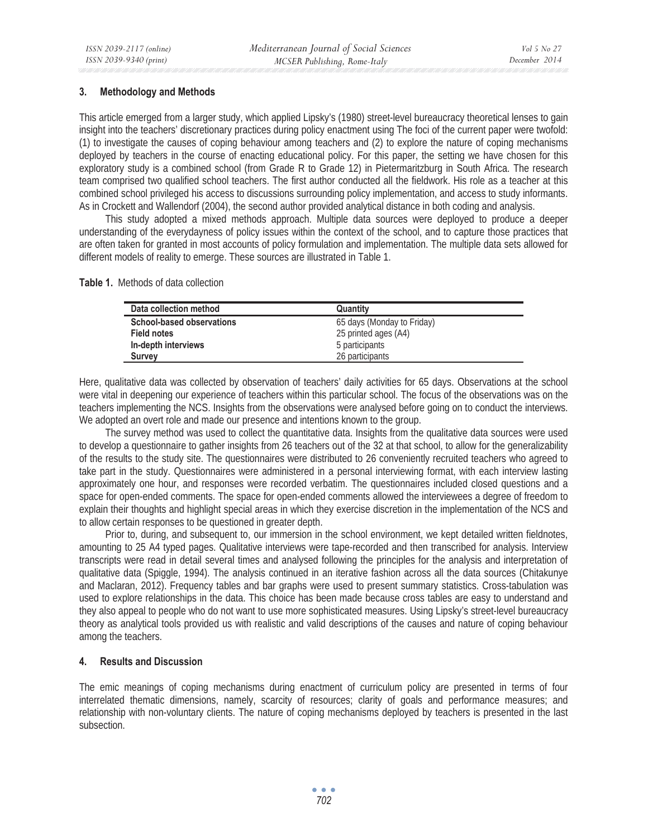## **3. Methodology and Methods**

This article emerged from a larger study, which applied Lipsky's (1980) street-level bureaucracy theoretical lenses to gain insight into the teachers' discretionary practices during policy enactment using The foci of the current paper were twofold: (1) to investigate the causes of coping behaviour among teachers and (2) to explore the nature of coping mechanisms deployed by teachers in the course of enacting educational policy. For this paper, the setting we have chosen for this exploratory study is a combined school (from Grade R to Grade 12) in Pietermaritzburg in South Africa. The research team comprised two qualified school teachers. The first author conducted all the fieldwork. His role as a teacher at this combined school privileged his access to discussions surrounding policy implementation, and access to study informants. As in Crockett and Wallendorf (2004), the second author provided analytical distance in both coding and analysis.

This study adopted a mixed methods approach. Multiple data sources were deployed to produce a deeper understanding of the everydayness of policy issues within the context of the school, and to capture those practices that are often taken for granted in most accounts of policy formulation and implementation. The multiple data sets allowed for different models of reality to emerge. These sources are illustrated in Table 1.

#### **Table 1.** Methods of data collection

| Data collection method           | Quantity                   |
|----------------------------------|----------------------------|
| <b>School-based observations</b> | 65 days (Monday to Friday) |
| <b>Field notes</b>               | 25 printed ages (A4)       |
| In-depth interviews              | 5 participants             |
| <b>Survey</b>                    | 26 participants            |

Here, qualitative data was collected by observation of teachers' daily activities for 65 days. Observations at the school were vital in deepening our experience of teachers within this particular school. The focus of the observations was on the teachers implementing the NCS. Insights from the observations were analysed before going on to conduct the interviews. We adopted an overt role and made our presence and intentions known to the group.

The survey method was used to collect the quantitative data. Insights from the qualitative data sources were used to develop a questionnaire to gather insights from 26 teachers out of the 32 at that school, to allow for the generalizability of the results to the study site. The questionnaires were distributed to 26 conveniently recruited teachers who agreed to take part in the study. Questionnaires were administered in a personal interviewing format, with each interview lasting approximately one hour, and responses were recorded verbatim. The questionnaires included closed questions and a space for open-ended comments. The space for open-ended comments allowed the interviewees a degree of freedom to explain their thoughts and highlight special areas in which they exercise discretion in the implementation of the NCS and to allow certain responses to be questioned in greater depth.

Prior to, during, and subsequent to, our immersion in the school environment, we kept detailed written fieldnotes, amounting to 25 A4 typed pages. Qualitative interviews were tape-recorded and then transcribed for analysis. Interview transcripts were read in detail several times and analysed following the principles for the analysis and interpretation of qualitative data (Spiggle, 1994). The analysis continued in an iterative fashion across all the data sources (Chitakunye and Maclaran, 2012). Frequency tables and bar graphs were used to present summary statistics. Cross-tabulation was used to explore relationships in the data. This choice has been made because cross tables are easy to understand and they also appeal to people who do not want to use more sophisticated measures. Using Lipsky's street-level bureaucracy theory as analytical tools provided us with realistic and valid descriptions of the causes and nature of coping behaviour among the teachers.

## **4. Results and Discussion**

The emic meanings of coping mechanisms during enactment of curriculum policy are presented in terms of four interrelated thematic dimensions, namely, scarcity of resources; clarity of goals and performance measures; and relationship with non-voluntary clients. The nature of coping mechanisms deployed by teachers is presented in the last subsection.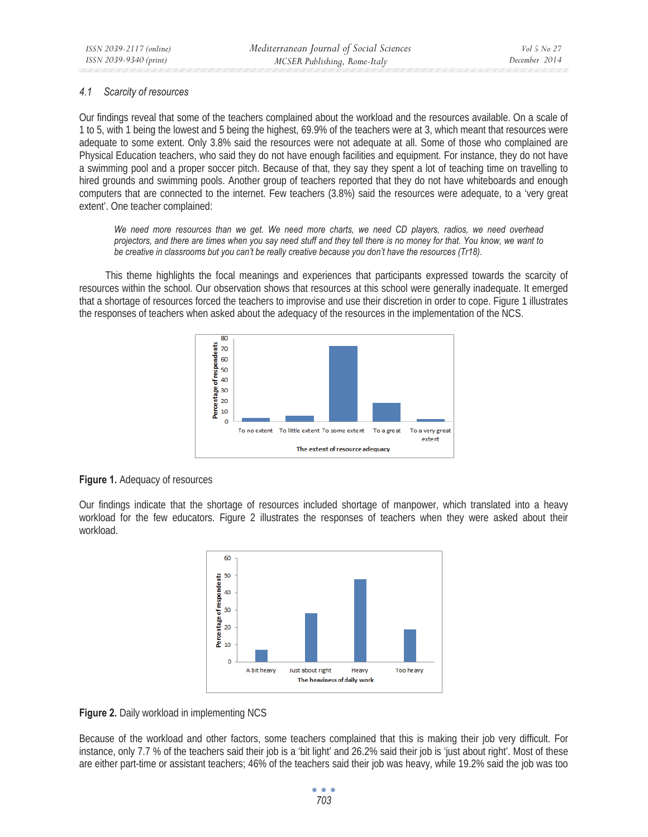## *4.1 Scarcity of resources*

Our findings reveal that some of the teachers complained about the workload and the resources available. On a scale of 1 to 5, with 1 being the lowest and 5 being the highest, 69.9% of the teachers were at 3, which meant that resources were adequate to some extent. Only 3.8% said the resources were not adequate at all. Some of those who complained are Physical Education teachers, who said they do not have enough facilities and equipment. For instance, they do not have a swimming pool and a proper soccer pitch. Because of that, they say they spent a lot of teaching time on travelling to hired grounds and swimming pools. Another group of teachers reported that they do not have whiteboards and enough computers that are connected to the internet. Few teachers (3.8%) said the resources were adequate, to a 'very great extent'. One teacher complained:

*We need more resources than we get. We need more charts, we need CD players, radios, we need overhead projectors, and there are times when you say need stuff and they tell there is no money for that. You know, we want to be creative in classrooms but you can't be really creative because you don't have the resources (Tr18).* 

This theme highlights the focal meanings and experiences that participants expressed towards the scarcity of resources within the school. Our observation shows that resources at this school were generally inadequate. It emerged that a shortage of resources forced the teachers to improvise and use their discretion in order to cope. Figure 1 illustrates the responses of teachers when asked about the adequacy of the resources in the implementation of the NCS.



## **Figure 1.** Adequacy of resources

Our findings indicate that the shortage of resources included shortage of manpower, which translated into a heavy workload for the few educators. Figure 2 illustrates the responses of teachers when they were asked about their workload.



**Figure 2.** Daily workload in implementing NCS

Because of the workload and other factors, some teachers complained that this is making their job very difficult. For instance, only 7.7 % of the teachers said their job is a 'bit light' and 26.2% said their job is 'just about right'. Most of these are either part-time or assistant teachers; 46% of the teachers said their job was heavy, while 19.2% said the job was too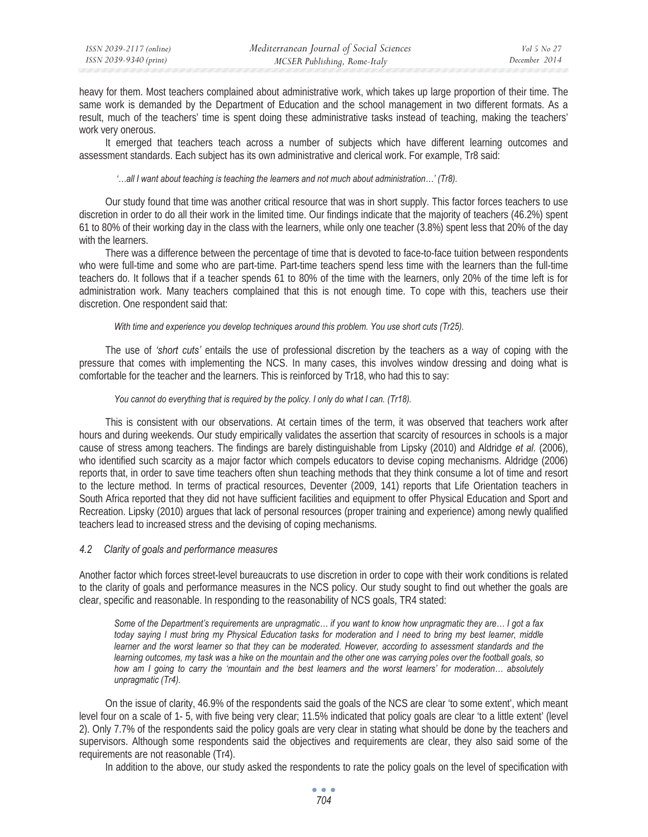heavy for them. Most teachers complained about administrative work, which takes up large proportion of their time. The same work is demanded by the Department of Education and the school management in two different formats. As a result, much of the teachers' time is spent doing these administrative tasks instead of teaching, making the teachers' work very onerous.

It emerged that teachers teach across a number of subjects which have different learning outcomes and assessment standards. Each subject has its own administrative and clerical work. For example, Tr8 said:

#### *'…all I want about teaching is teaching the learners and not much about administration…' (Tr8).*

Our study found that time was another critical resource that was in short supply. This factor forces teachers to use discretion in order to do all their work in the limited time. Our findings indicate that the majority of teachers (46.2%) spent 61 to 80% of their working day in the class with the learners, while only one teacher (3.8%) spent less that 20% of the day with the learners.

There was a difference between the percentage of time that is devoted to face-to-face tuition between respondents who were full-time and some who are part-time. Part-time teachers spend less time with the learners than the full-time teachers do. It follows that if a teacher spends 61 to 80% of the time with the learners, only 20% of the time left is for administration work. Many teachers complained that this is not enough time. To cope with this, teachers use their discretion. One respondent said that:

#### *With time and experience you develop techniques around this problem. You use short cuts (Tr25).*

The use of *'short cuts'* entails the use of professional discretion by the teachers as a way of coping with the pressure that comes with implementing the NCS. In many cases, this involves window dressing and doing what is comfortable for the teacher and the learners. This is reinforced by Tr18, who had this to say:

#### *You cannot do everything that is required by the policy. I only do what I can. (Tr18).*

This is consistent with our observations. At certain times of the term, it was observed that teachers work after hours and during weekends. Our study empirically validates the assertion that scarcity of resources in schools is a major cause of stress among teachers. The findings are barely distinguishable from Lipsky (2010) and Aldridge *et al.* (2006), who identified such scarcity as a major factor which compels educators to devise coping mechanisms. Aldridge (2006) reports that, in order to save time teachers often shun teaching methods that they think consume a lot of time and resort to the lecture method. In terms of practical resources, Deventer (2009, 141) reports that Life Orientation teachers in South Africa reported that they did not have sufficient facilities and equipment to offer Physical Education and Sport and Recreation. Lipsky (2010) argues that lack of personal resources (proper training and experience) among newly qualified teachers lead to increased stress and the devising of coping mechanisms.

#### *4.2 Clarity of goals and performance measures*

Another factor which forces street-level bureaucrats to use discretion in order to cope with their work conditions is related to the clarity of goals and performance measures in the NCS policy. Our study sought to find out whether the goals are clear, specific and reasonable. In responding to the reasonability of NCS goals, TR4 stated:

*Some of the Department's requirements are unpragmatic… if you want to know how unpragmatic they are… I got a fax today saying I must bring my Physical Education tasks for moderation and I need to bring my best learner, middle learner and the worst learner so that they can be moderated. However, according to assessment standards and the learning outcomes, my task was a hike on the mountain and the other one was carrying poles over the football goals, so*  how am I going to carry the 'mountain and the best learners and the worst learners' for moderation... absolutely *unpragmatic (Tr4).* 

On the issue of clarity, 46.9% of the respondents said the goals of the NCS are clear 'to some extent', which meant level four on a scale of 1- 5, with five being very clear; 11.5% indicated that policy goals are clear 'to a little extent' (level 2). Only 7.7% of the respondents said the policy goals are very clear in stating what should be done by the teachers and supervisors. Although some respondents said the objectives and requirements are clear, they also said some of the requirements are not reasonable (Tr4).

In addition to the above, our study asked the respondents to rate the policy goals on the level of specification with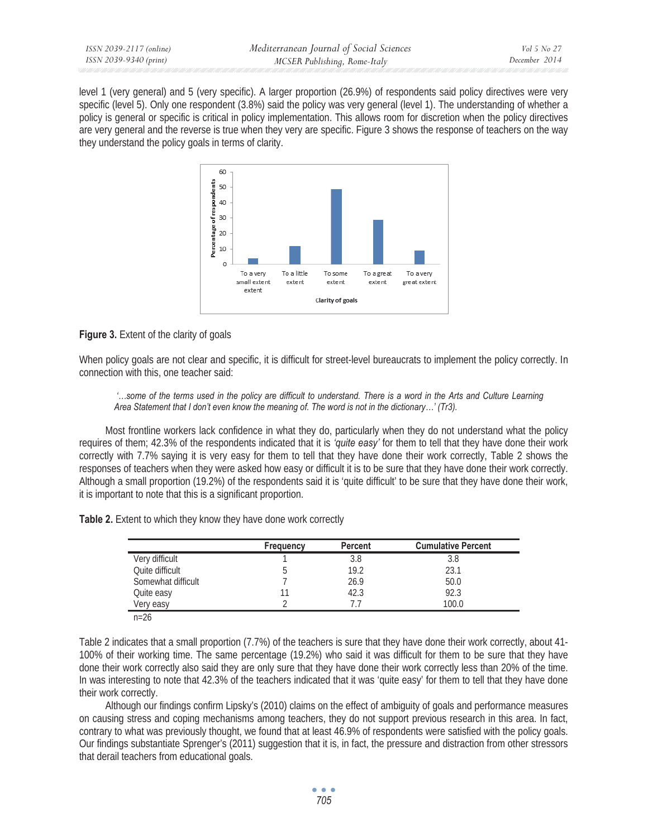level 1 (very general) and 5 (very specific). A larger proportion (26.9%) of respondents said policy directives were very specific (level 5). Only one respondent (3.8%) said the policy was very general (level 1). The understanding of whether a policy is general or specific is critical in policy implementation. This allows room for discretion when the policy directives are very general and the reverse is true when they very are specific. Figure 3 shows the response of teachers on the way they understand the policy goals in terms of clarity.



## **Figure 3.** Extent of the clarity of goals

When policy goals are not clear and specific, it is difficult for street-level bureaucrats to implement the policy correctly. In connection with this, one teacher said:

 *'…some of the terms used in the policy are difficult to understand. There is a word in the Arts and Culture Learning Area Statement that I don't even know the meaning of. The word is not in the dictionary…' (Tr3).* 

Most frontline workers lack confidence in what they do, particularly when they do not understand what the policy requires of them; 42.3% of the respondents indicated that it is *'quite easy'* for them to tell that they have done their work correctly with 7.7% saying it is very easy for them to tell that they have done their work correctly, Table 2 shows the responses of teachers when they were asked how easy or difficult it is to be sure that they have done their work correctly. Although a small proportion (19.2%) of the respondents said it is 'quite difficult' to be sure that they have done their work, it is important to note that this is a significant proportion.

| Table 2. Extent to which they know they have done work correctly |
|------------------------------------------------------------------|
|------------------------------------------------------------------|

|                    | Frequency | <b>Percent</b> | <b>Cumulative Percent</b> |
|--------------------|-----------|----------------|---------------------------|
| Very difficult     |           | 3.8            | 3.8                       |
| Ouite difficult    |           | 19.2           | 23.1                      |
| Somewhat difficult |           | 26.9           | 50.0                      |
| Quite easy         | 11        | 42.3           | 92.3                      |
| Very easy          |           |                | 100.0                     |

Table 2 indicates that a small proportion (7.7%) of the teachers is sure that they have done their work correctly, about 41- 100% of their working time. The same percentage (19.2%) who said it was difficult for them to be sure that they have done their work correctly also said they are only sure that they have done their work correctly less than 20% of the time. In was interesting to note that 42.3% of the teachers indicated that it was 'quite easy' for them to tell that they have done their work correctly.

Although our findings confirm Lipsky's (2010) claims on the effect of ambiguity of goals and performance measures on causing stress and coping mechanisms among teachers, they do not support previous research in this area. In fact, contrary to what was previously thought, we found that at least 46.9% of respondents were satisfied with the policy goals. Our findings substantiate Sprenger's (2011) suggestion that it is, in fact, the pressure and distraction from other stressors that derail teachers from educational goals.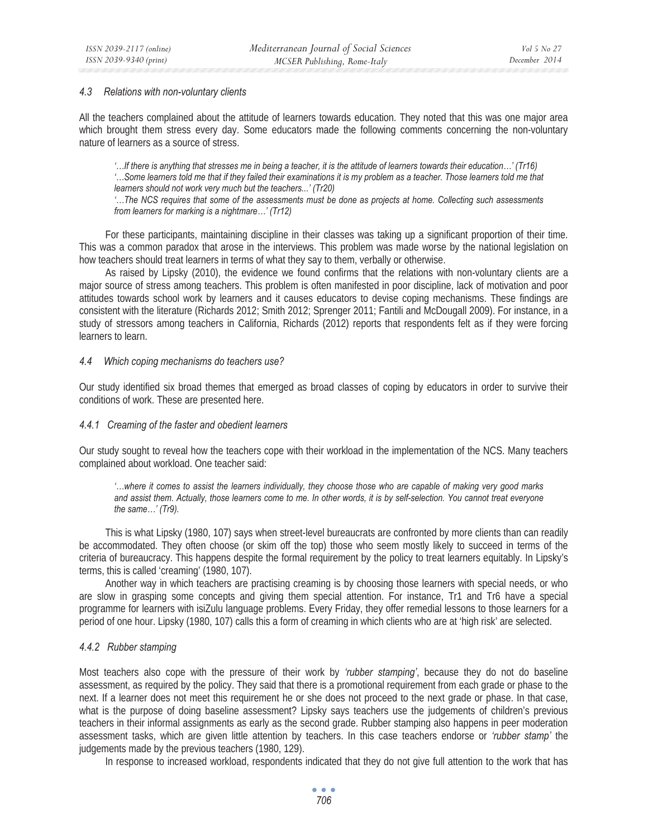#### *4.3 Relations with non-voluntary clients*

All the teachers complained about the attitude of learners towards education. They noted that this was one major area which brought them stress every day. Some educators made the following comments concerning the non-voluntary nature of learners as a source of stress.

*'…If there is anything that stresses me in being a teacher, it is the attitude of learners towards their education…' (Tr16) '…Some learners told me that if they failed their examinations it is my problem as a teacher. Those learners told me that learners should not work very much but the teachers...' (Tr20)* 

*'…The NCS requires that some of the assessments must be done as projects at home. Collecting such assessments from learners for marking is a nightmare…' (Tr12)* 

For these participants, maintaining discipline in their classes was taking up a significant proportion of their time. This was a common paradox that arose in the interviews. This problem was made worse by the national legislation on how teachers should treat learners in terms of what they say to them, verbally or otherwise.

As raised by Lipsky (2010), the evidence we found confirms that the relations with non-voluntary clients are a major source of stress among teachers. This problem is often manifested in poor discipline, lack of motivation and poor attitudes towards school work by learners and it causes educators to devise coping mechanisms. These findings are consistent with the literature (Richards 2012; Smith 2012; Sprenger 2011; Fantili and McDougall 2009). For instance, in a study of stressors among teachers in California, Richards (2012) reports that respondents felt as if they were forcing learners to learn.

#### *4.4 Which coping mechanisms do teachers use?*

Our study identified six broad themes that emerged as broad classes of coping by educators in order to survive their conditions of work. These are presented here.

## *4.4.1 Creaming of the faster and obedient learners*

Our study sought to reveal how the teachers cope with their workload in the implementation of the NCS. Many teachers complained about workload. One teacher said:

*'…where it comes to assist the learners individually, they choose those who are capable of making very good marks and assist them. Actually, those learners come to me. In other words, it is by self-selection. You cannot treat everyone the same…' (Tr9).* 

This is what Lipsky (1980, 107) says when street-level bureaucrats are confronted by more clients than can readily be accommodated. They often choose (or skim off the top) those who seem mostly likely to succeed in terms of the criteria of bureaucracy. This happens despite the formal requirement by the policy to treat learners equitably. In Lipsky's terms, this is called 'creaming' (1980, 107).

Another way in which teachers are practising creaming is by choosing those learners with special needs, or who are slow in grasping some concepts and giving them special attention. For instance, Tr1 and Tr6 have a special programme for learners with isiZulu language problems. Every Friday, they offer remedial lessons to those learners for a period of one hour. Lipsky (1980, 107) calls this a form of creaming in which clients who are at 'high risk' are selected.

## *4.4.2 Rubber stamping*

Most teachers also cope with the pressure of their work by *'rubber stamping'*, because they do not do baseline assessment, as required by the policy. They said that there is a promotional requirement from each grade or phase to the next. If a learner does not meet this requirement he or she does not proceed to the next grade or phase. In that case, what is the purpose of doing baseline assessment? Lipsky says teachers use the judgements of children's previous teachers in their informal assignments as early as the second grade. Rubber stamping also happens in peer moderation assessment tasks, which are given little attention by teachers. In this case teachers endorse or *'rubber stamp'* the judgements made by the previous teachers (1980, 129).

In response to increased workload, respondents indicated that they do not give full attention to the work that has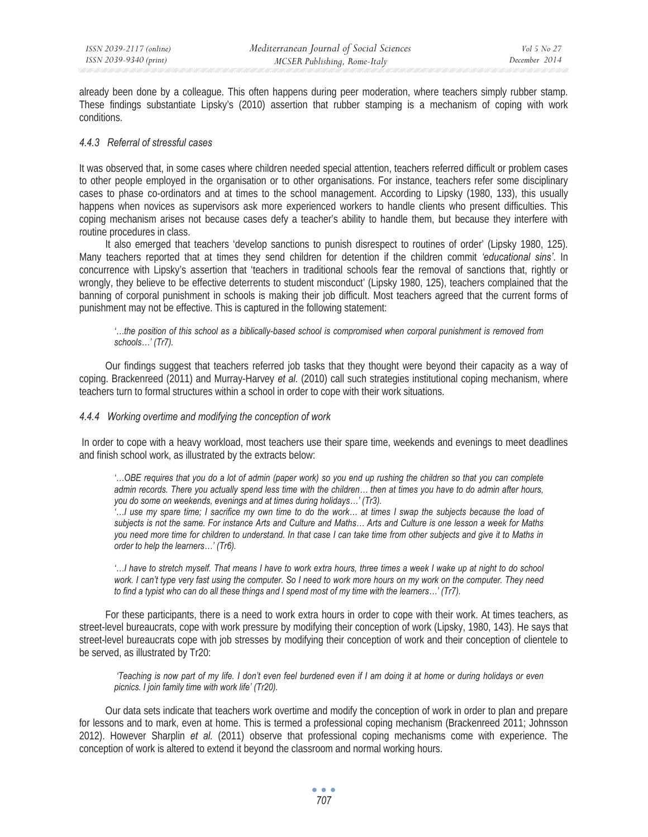already been done by a colleague. This often happens during peer moderation, where teachers simply rubber stamp. These findings substantiate Lipsky's (2010) assertion that rubber stamping is a mechanism of coping with work conditions.

### *4.4.3 Referral of stressful cases*

It was observed that, in some cases where children needed special attention, teachers referred difficult or problem cases to other people employed in the organisation or to other organisations. For instance, teachers refer some disciplinary cases to phase co-ordinators and at times to the school management. According to Lipsky (1980, 133), this usually happens when novices as supervisors ask more experienced workers to handle clients who present difficulties. This coping mechanism arises not because cases defy a teacher's ability to handle them, but because they interfere with routine procedures in class.

It also emerged that teachers 'develop sanctions to punish disrespect to routines of order' (Lipsky 1980, 125). Many teachers reported that at times they send children for detention if the children commit *'educational sins'*. In concurrence with Lipsky's assertion that 'teachers in traditional schools fear the removal of sanctions that, rightly or wrongly, they believe to be effective deterrents to student misconduct' (Lipsky 1980, 125), teachers complained that the banning of corporal punishment in schools is making their job difficult. Most teachers agreed that the current forms of punishment may not be effective. This is captured in the following statement:

*'…the position of this school as a biblically-based school is compromised when corporal punishment is removed from schools…' (Tr7).* 

Our findings suggest that teachers referred job tasks that they thought were beyond their capacity as a way of coping. Brackenreed (2011) and Murray-Harvey *et al.* (2010) call such strategies institutional coping mechanism, where teachers turn to formal structures within a school in order to cope with their work situations.

#### *4.4.4 Working overtime and modifying the conception of work*

In order to cope with a heavy workload, most teachers use their spare time, weekends and evenings to meet deadlines and finish school work, as illustrated by the extracts below:

*'…OBE requires that you do a lot of admin (paper work) so you end up rushing the children so that you can complete admin records. There you actually spend less time with the children… then at times you have to do admin after hours, you do some on weekends, evenings and at times during holidays…' (Tr3).* 

*'…I use my spare time; I sacrifice my own time to do the work… at times I swap the subjects because the load of subjects is not the same. For instance Arts and Culture and Maths… Arts and Culture is one lesson a week for Maths you need more time for children to understand. In that case I can take time from other subjects and give it to Maths in order to help the learners…' (Tr6).* 

*'…I have to stretch myself. That means I have to work extra hours, three times a week I wake up at night to do school work. I can't type very fast using the computer. So I need to work more hours on my work on the computer. They need to find a typist who can do all these things and I spend most of my time with the learners…' (Tr7).* 

For these participants, there is a need to work extra hours in order to cope with their work. At times teachers, as street-level bureaucrats, cope with work pressure by modifying their conception of work (Lipsky, 1980, 143). He says that street-level bureaucrats cope with job stresses by modifying their conception of work and their conception of clientele to be served, as illustrated by Tr20:

 *'Teaching is now part of my life. I don't even feel burdened even if I am doing it at home or during holidays or even picnics. I join family time with work life' (Tr20).* 

Our data sets indicate that teachers work overtime and modify the conception of work in order to plan and prepare for lessons and to mark, even at home. This is termed a professional coping mechanism (Brackenreed 2011; Johnsson 2012). However Sharplin *et al.* (2011) observe that professional coping mechanisms come with experience. The conception of work is altered to extend it beyond the classroom and normal working hours.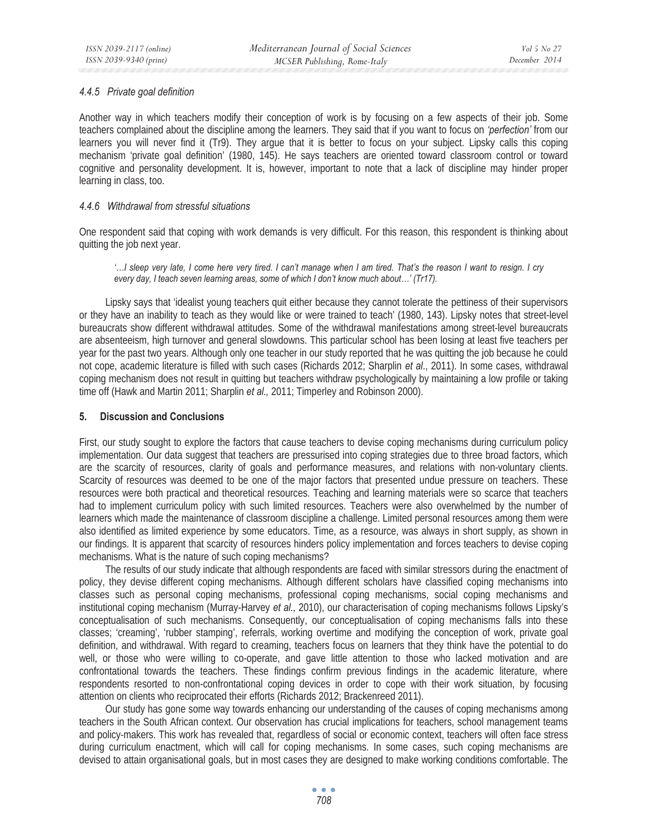## *4.4.5 Private goal definition*

Another way in which teachers modify their conception of work is by focusing on a few aspects of their job. Some teachers complained about the discipline among the learners. They said that if you want to focus on *'perfection'* from our learners you will never find it (Tr9). They argue that it is better to focus on your subject. Lipsky calls this coping mechanism 'private goal definition' (1980, 145). He says teachers are oriented toward classroom control or toward cognitive and personality development. It is, however, important to note that a lack of discipline may hinder proper learning in class, too.

## *4.4.6 Withdrawal from stressful situations*

One respondent said that coping with work demands is very difficult. For this reason, this respondent is thinking about quitting the job next year.

*'…I sleep very late, I come here very tired. I can't manage when I am tired. That's the reason I want to resign. I cry every day, I teach seven learning areas, some of which I don't know much about…' (Tr17).* 

Lipsky says that 'idealist young teachers quit either because they cannot tolerate the pettiness of their supervisors or they have an inability to teach as they would like or were trained to teach' (1980, 143). Lipsky notes that street-level bureaucrats show different withdrawal attitudes. Some of the withdrawal manifestations among street-level bureaucrats are absenteeism, high turnover and general slowdowns. This particular school has been losing at least five teachers per year for the past two years. Although only one teacher in our study reported that he was quitting the job because he could not cope, academic literature is filled with such cases (Richards 2012; Sharplin *et al*., 2011). In some cases, withdrawal coping mechanism does not result in quitting but teachers withdraw psychologically by maintaining a low profile or taking time off (Hawk and Martin 2011; Sharplin *et al.,* 2011; Timperley and Robinson 2000).

## **5. Discussion and Conclusions**

First, our study sought to explore the factors that cause teachers to devise coping mechanisms during curriculum policy implementation. Our data suggest that teachers are pressurised into coping strategies due to three broad factors, which are the scarcity of resources, clarity of goals and performance measures, and relations with non-voluntary clients. Scarcity of resources was deemed to be one of the major factors that presented undue pressure on teachers. These resources were both practical and theoretical resources. Teaching and learning materials were so scarce that teachers had to implement curriculum policy with such limited resources. Teachers were also overwhelmed by the number of learners which made the maintenance of classroom discipline a challenge. Limited personal resources among them were also identified as limited experience by some educators. Time, as a resource, was always in short supply, as shown in our findings. It is apparent that scarcity of resources hinders policy implementation and forces teachers to devise coping mechanisms. What is the nature of such coping mechanisms?

The results of our study indicate that although respondents are faced with similar stressors during the enactment of policy, they devise different coping mechanisms. Although different scholars have classified coping mechanisms into classes such as personal coping mechanisms, professional coping mechanisms, social coping mechanisms and institutional coping mechanism (Murray-Harvey *et al.,* 2010), our characterisation of coping mechanisms follows Lipsky's conceptualisation of such mechanisms. Consequently, our conceptualisation of coping mechanisms falls into these classes; 'creaming', 'rubber stamping', referrals, working overtime and modifying the conception of work, private goal definition, and withdrawal. With regard to creaming, teachers focus on learners that they think have the potential to do well, or those who were willing to co-operate, and gave little attention to those who lacked motivation and are confrontational towards the teachers. These findings confirm previous findings in the academic literature, where respondents resorted to non-confrontational coping devices in order to cope with their work situation, by focusing attention on clients who reciprocated their efforts (Richards 2012; Brackenreed 2011).

Our study has gone some way towards enhancing our understanding of the causes of coping mechanisms among teachers in the South African context. Our observation has crucial implications for teachers, school management teams and policy-makers. This work has revealed that, regardless of social or economic context, teachers will often face stress during curriculum enactment, which will call for coping mechanisms. In some cases, such coping mechanisms are devised to attain organisational goals, but in most cases they are designed to make working conditions comfortable. The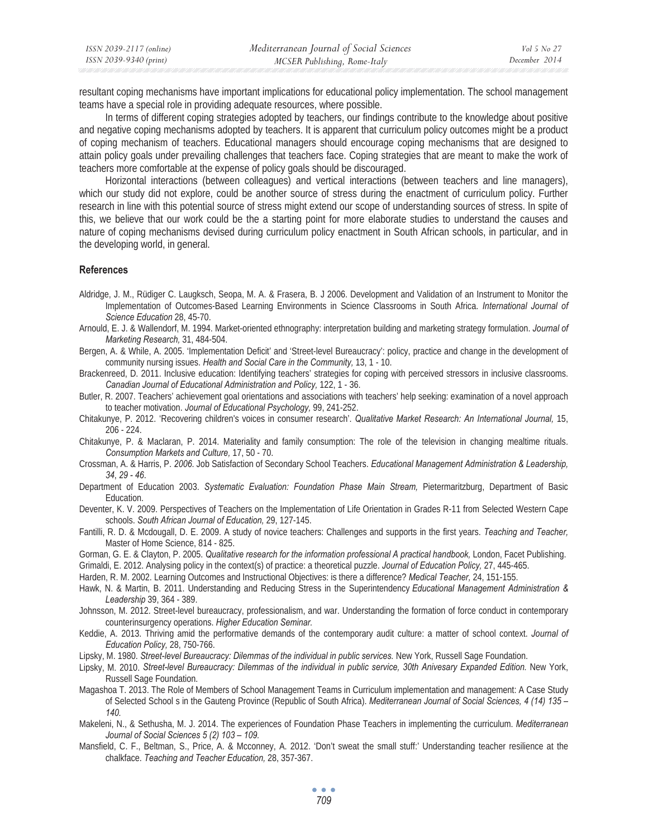| ISSN 2039-2117 (online) | Mediterranean Journal of Social Sciences | Vol 5 No 27   |
|-------------------------|------------------------------------------|---------------|
| ISSN 2039-9340 (print)  | MCSER Publishing, Rome-Italy             | December 2014 |

resultant coping mechanisms have important implications for educational policy implementation. The school management teams have a special role in providing adequate resources, where possible.

In terms of different coping strategies adopted by teachers, our findings contribute to the knowledge about positive and negative coping mechanisms adopted by teachers. It is apparent that curriculum policy outcomes might be a product of coping mechanism of teachers. Educational managers should encourage coping mechanisms that are designed to attain policy goals under prevailing challenges that teachers face. Coping strategies that are meant to make the work of teachers more comfortable at the expense of policy goals should be discouraged.

Horizontal interactions (between colleagues) and vertical interactions (between teachers and line managers), which our study did not explore, could be another source of stress during the enactment of curriculum policy. Further research in line with this potential source of stress might extend our scope of understanding sources of stress. In spite of this, we believe that our work could be the a starting point for more elaborate studies to understand the causes and nature of coping mechanisms devised during curriculum policy enactment in South African schools, in particular, and in the developing world, in general.

#### **References**

- Aldridge, J. M., Rüdiger C. Laugksch, Seopa, M. A. & Frasera, B. J 2006. Development and Validation of an Instrument to Monitor the Implementation of Outcomes-Based Learning Environments in Science Classrooms in South Africa. *International Journal of Science Education* 28, 45-70.
- Arnould, E. J. & Wallendorf, M. 1994. Market-oriented ethnography: interpretation building and marketing strategy formulation. *Journal of Marketing Research,* 31, 484-504.
- Bergen, A. & While, A. 2005. 'Implementation Deficit' and 'Street-level Bureaucracy': policy, practice and change in the development of community nursing issues. *Health and Social Care in the Community,* 13, 1 - 10.
- Brackenreed, D. 2011. Inclusive education: Identifying teachers' strategies for coping with perceived stressors in inclusive classrooms. *Canadian Journal of Educational Administration and Policy,* 122, 1 - 36.

Butler, R. 2007. Teachers' achievement goal orientations and associations with teachers' help seeking: examination of a novel approach to teacher motivation. *Journal of Educational Psychology,* 99, 241-252.

Chitakunye, P. 2012. 'Recovering children's voices in consumer research'. *Qualitative Market Research: An International Journal,* 15, 206 - 224.

- Chitakunye, P. & Maclaran, P. 2014. Materiality and family consumption: The role of the television in changing mealtime rituals. *Consumption Markets and Culture,* 17, 50 - 70.
- Crossman, A. & Harris, P. *2006*. Job Satisfaction of Secondary School Teachers. *Educational Management Administration & Leadership, 34*, *29 - 46*.
- Department of Education 2003. *Systematic Evaluation: Foundation Phase Main Stream,* Pietermaritzburg, Department of Basic Education.
- Deventer, K. V. 2009. Perspectives of Teachers on the Implementation of Life Orientation in Grades R-11 from Selected Western Cape schools. *South African Journal of Education,* 29, 127-145.
- Fantilli, R. D. & Mcdougall, D. E. 2009. A study of novice teachers: Challenges and supports in the first years. Teaching and Teacher, Master of Home Science, 814 - 825.
- Gorman, G. E. & Clayton, P. 2005. *Qualitative research for the information professional A practical handbook*, London, Facet Publishing.
- Grimaldi, E. 2012. Analysing policy in the context(s) of practice: a theoretical puzzle. *Journal of Education Policy,* 27, 445-465.

Harden, R. M. 2002. Learning Outcomes and Instructional Objectives: is there a difference? *Medical Teacher,* 24, 151-155.

Hawk, N. & Martin, B. 2011. Understanding and Reducing Stress in the Superintendency *Educational Management Administration & Leadership* 39, 364 - 389.

Johnsson, M. 2012. Street-level bureaucracy, professionalism, and war. Understanding the formation of force conduct in contemporary counterinsurgency operations. *Higher Education Seminar.* 

Keddie, A. 2013. Thriving amid the performative demands of the contemporary audit culture: a matter of school context. *Journal of Education Policy,* 28, 750-766.

Lipsky, M. 1980. Street-level Bureaucracy: Dilemmas of the individual in public services. New York, Russell Sage Foundation.

Lipsky, M. 2010. Street-level Bureaucracy: Dilemmas of the individual in public service, 30th Anivesary Expanded Edition. New York, Russell Sage Foundation.

- Magashoa T. 2013. The Role of Members of School Management Teams in Curriculum implementation and management: A Case Study of Selected School s in the Gauteng Province (Republic of South Africa). *Mediterranean Journal of Social Sciences, 4 (14) 135 – 140.*
- Makeleni, N., & Sethusha, M. J. 2014. The experiences of Foundation Phase Teachers in implementing the curriculum. *Mediterranean Journal of Social Sciences 5 (2) 103 – 109.*
- Mansfield, C. F., Beltman, S., Price, A. & Mcconney, A. 2012. 'Don't sweat the small stuff:' Understanding teacher resilience at the chalkface. *Teaching and Teacher Education,* 28, 357-367.